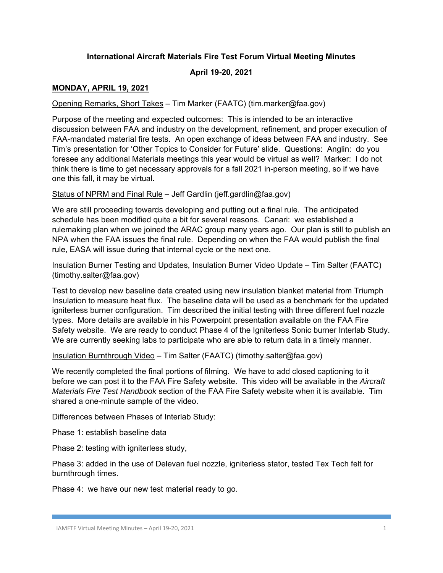# **International Aircraft Materials Fire Test Forum Virtual Meeting Minutes**

### **April 19-20, 2021**

## **MONDAY, APRIL 19, 2021**

### Opening Remarks, Short Takes – Tim Marker (FAATC) (tim.marker@faa.gov)

Purpose of the meeting and expected outcomes: This is intended to be an interactive discussion between FAA and industry on the development, refinement, and proper execution of FAA-mandated material fire tests. An open exchange of ideas between FAA and industry. See Tim's presentation for 'Other Topics to Consider for Future' slide. Questions: Anglin: do you foresee any additional Materials meetings this year would be virtual as well? Marker: I do not think there is time to get necessary approvals for a fall 2021 in-person meeting, so if we have one this fall, it may be virtual.

Status of NPRM and Final Rule – Jeff Gardlin (jeff.gardlin@faa.gov)

We are still proceeding towards developing and putting out a final rule. The anticipated schedule has been modified quite a bit for several reasons. Canari: we established a rulemaking plan when we joined the ARAC group many years ago. Our plan is still to publish an NPA when the FAA issues the final rule. Depending on when the FAA would publish the final rule, EASA will issue during that internal cycle or the next one.

Insulation Burner Testing and Updates, Insulation Burner Video Update – Tim Salter (FAATC) (timothy.salter@faa.gov)

Test to develop new baseline data created using new insulation blanket material from Triumph Insulation to measure heat flux. The baseline data will be used as a benchmark for the updated igniterless burner configuration. Tim described the initial testing with three different fuel nozzle types. More details are available in his Powerpoint presentation available on the FAA Fire Safety website. We are ready to conduct Phase 4 of the Igniterless Sonic burner Interlab Study. We are currently seeking labs to participate who are able to return data in a timely manner.

Insulation Burnthrough Video – Tim Salter (FAATC) (timothy.salter@faa.gov)

We recently completed the final portions of filming. We have to add closed captioning to it before we can post it to the FAA Fire Safety website. This video will be available in the *Aircraft Materials Fire Test Handbook* section of the FAA Fire Safety website when it is available. Tim shared a one-minute sample of the video.

Differences between Phases of Interlab Study:

Phase 1: establish baseline data

Phase 2: testing with igniterless study,

Phase 3: added in the use of Delevan fuel nozzle, igniterless stator, tested Tex Tech felt for burnthrough times.

Phase 4: we have our new test material ready to go.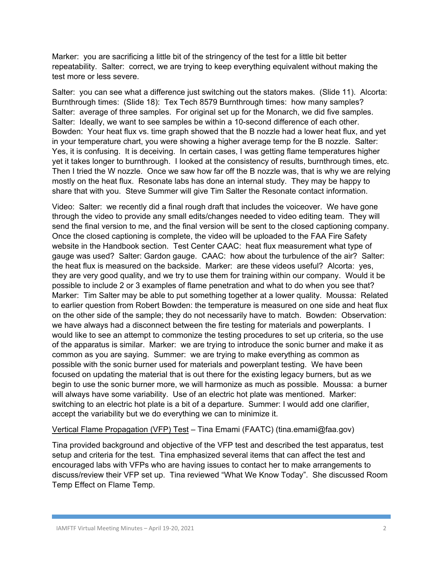Marker: you are sacrificing a little bit of the stringency of the test for a little bit better repeatability. Salter: correct, we are trying to keep everything equivalent without making the test more or less severe.

Salter: you can see what a difference just switching out the stators makes. (Slide 11). Alcorta: Burnthrough times: (Slide 18): Tex Tech 8579 Burnthrough times: how many samples? Salter: average of three samples. For original set up for the Monarch, we did five samples. Salter: Ideally, we want to see samples be within a 10-second difference of each other. Bowden: Your heat flux vs. time graph showed that the B nozzle had a lower heat flux, and yet in your temperature chart, you were showing a higher average temp for the B nozzle. Salter: Yes, it is confusing. It is deceiving. In certain cases, I was getting flame temperatures higher yet it takes longer to burnthrough. I looked at the consistency of results, burnthrough times, etc. Then I tried the W nozzle. Once we saw how far off the B nozzle was, that is why we are relying mostly on the heat flux. Resonate labs has done an internal study. They may be happy to share that with you. Steve Summer will give Tim Salter the Resonate contact information.

Video: Salter: we recently did a final rough draft that includes the voiceover. We have gone through the video to provide any small edits/changes needed to video editing team. They will send the final version to me, and the final version will be sent to the closed captioning company. Once the closed captioning is complete, the video will be uploaded to the FAA Fire Safety website in the Handbook section. Test Center CAAC: heat flux measurement what type of gauge was used? Salter: Gardon gauge. CAAC: how about the turbulence of the air? Salter: the heat flux is measured on the backside. Marker: are these videos useful? Alcorta: yes, they are very good quality, and we try to use them for training within our company. Would it be possible to include 2 or 3 examples of flame penetration and what to do when you see that? Marker: Tim Salter may be able to put something together at a lower quality. Moussa: Related to earlier question from Robert Bowden: the temperature is measured on one side and heat flux on the other side of the sample; they do not necessarily have to match. Bowden: Observation: we have always had a disconnect between the fire testing for materials and powerplants. I would like to see an attempt to commonize the testing procedures to set up criteria, so the use of the apparatus is similar. Marker: we are trying to introduce the sonic burner and make it as common as you are saying. Summer: we are trying to make everything as common as possible with the sonic burner used for materials and powerplant testing. We have been focused on updating the material that is out there for the existing legacy burners, but as we begin to use the sonic burner more, we will harmonize as much as possible. Moussa: a burner will always have some variability. Use of an electric hot plate was mentioned. Marker: switching to an electric hot plate is a bit of a departure. Summer: I would add one clarifier, accept the variability but we do everything we can to minimize it.

## Vertical Flame Propagation (VFP) Test – Tina Emami (FAATC) (tina.emami@faa.gov)

Tina provided background and objective of the VFP test and described the test apparatus, test setup and criteria for the test. Tina emphasized several items that can affect the test and encouraged labs with VFPs who are having issues to contact her to make arrangements to discuss/review their VFP set up. Tina reviewed "What We Know Today". She discussed Room Temp Effect on Flame Temp.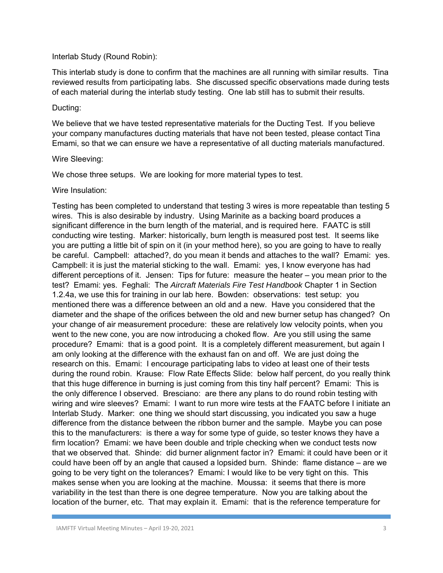#### Interlab Study (Round Robin):

This interlab study is done to confirm that the machines are all running with similar results. Tina reviewed results from participating labs. She discussed specific observations made during tests of each material during the interlab study testing. One lab still has to submit their results.

#### Ducting:

We believe that we have tested representative materials for the Ducting Test. If you believe your company manufactures ducting materials that have not been tested, please contact Tina Emami, so that we can ensure we have a representative of all ducting materials manufactured.

#### Wire Sleeving:

We chose three setups. We are looking for more material types to test.

#### Wire Insulation:

Testing has been completed to understand that testing 3 wires is more repeatable than testing 5 wires. This is also desirable by industry. Using Marinite as a backing board produces a significant difference in the burn length of the material, and is required here. FAATC is still conducting wire testing. Marker: historically, burn length is measured post test. It seems like you are putting a little bit of spin on it (in your method here), so you are going to have to really be careful. Campbell: attached?, do you mean it bends and attaches to the wall? Emami: yes. Campbell: it is just the material sticking to the wall. Emami: yes, I know everyone has had different perceptions of it. Jensen: Tips for future: measure the heater – you mean prior to the test? Emami: yes. Feghali: The *Aircraft Materials Fire Test Handbook* Chapter 1 in Section 1.2.4a, we use this for training in our lab here. Bowden: observations: test setup: you mentioned there was a difference between an old and a new. Have you considered that the diameter and the shape of the orifices between the old and new burner setup has changed? On your change of air measurement procedure: these are relatively low velocity points, when you went to the new cone, you are now introducing a choked flow. Are you still using the same procedure? Emami: that is a good point. It is a completely different measurement, but again I am only looking at the difference with the exhaust fan on and off. We are just doing the research on this. Emami: I encourage participating labs to video at least one of their tests during the round robin. Krause: Flow Rate Effects Slide: below half percent, do you really think that this huge difference in burning is just coming from this tiny half percent? Emami: This is the only difference I observed. Bresciano: are there any plans to do round robin testing with wiring and wire sleeves? Emami: I want to run more wire tests at the FAATC before I initiate an Interlab Study. Marker: one thing we should start discussing, you indicated you saw a huge difference from the distance between the ribbon burner and the sample. Maybe you can pose this to the manufacturers: is there a way for some type of guide, so tester knows they have a firm location? Emami: we have been double and triple checking when we conduct tests now that we observed that. Shinde: did burner alignment factor in? Emami: it could have been or it could have been off by an angle that caused a lopsided burn. Shinde: flame distance – are we going to be very tight on the tolerances? Emami: I would like to be very tight on this. This makes sense when you are looking at the machine. Moussa: it seems that there is more variability in the test than there is one degree temperature. Now you are talking about the location of the burner, etc. That may explain it. Emami: that is the reference temperature for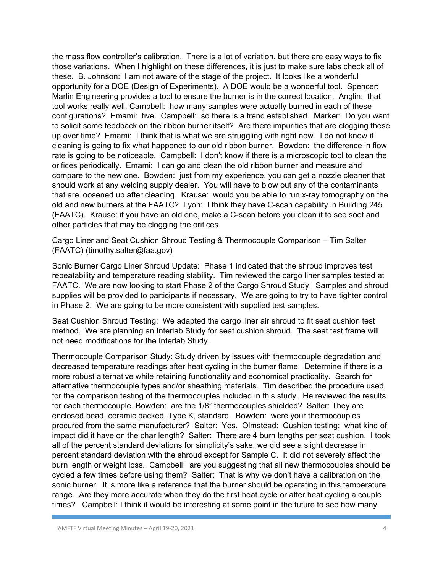the mass flow controller's calibration. There is a lot of variation, but there are easy ways to fix those variations. When I highlight on these differences, it is just to make sure labs check all of these. B. Johnson: I am not aware of the stage of the project. It looks like a wonderful opportunity for a DOE (Design of Experiments). A DOE would be a wonderful tool. Spencer: Marlin Engineering provides a tool to ensure the burner is in the correct location. Anglin: that tool works really well. Campbell: how many samples were actually burned in each of these configurations? Emami: five. Campbell: so there is a trend established. Marker: Do you want to solicit some feedback on the ribbon burner itself? Are there impurities that are clogging these up over time? Emami: I think that is what we are struggling with right now. I do not know if cleaning is going to fix what happened to our old ribbon burner. Bowden: the difference in flow rate is going to be noticeable. Campbell: I don't know if there is a microscopic tool to clean the orifices periodically. Emami: I can go and clean the old ribbon burner and measure and compare to the new one. Bowden: just from my experience, you can get a nozzle cleaner that should work at any welding supply dealer. You will have to blow out any of the contaminants that are loosened up after cleaning. Krause: would you be able to run x-ray tomography on the old and new burners at the FAATC? Lyon: I think they have C-scan capability in Building 245 (FAATC). Krause: if you have an old one, make a C-scan before you clean it to see soot and other particles that may be clogging the orifices.

Cargo Liner and Seat Cushion Shroud Testing & Thermocouple Comparison – Tim Salter (FAATC) (timothy.salter@faa.gov)

Sonic Burner Cargo Liner Shroud Update: Phase 1 indicated that the shroud improves test repeatability and temperature reading stability. Tim reviewed the cargo liner samples tested at FAATC. We are now looking to start Phase 2 of the Cargo Shroud Study. Samples and shroud supplies will be provided to participants if necessary. We are going to try to have tighter control in Phase 2. We are going to be more consistent with supplied test samples.

Seat Cushion Shroud Testing: We adapted the cargo liner air shroud to fit seat cushion test method. We are planning an Interlab Study for seat cushion shroud. The seat test frame will not need modifications for the Interlab Study.

Thermocouple Comparison Study: Study driven by issues with thermocouple degradation and decreased temperature readings after heat cycling in the burner flame. Determine if there is a more robust alternative while retaining functionality and economical practicality. Search for alternative thermocouple types and/or sheathing materials. Tim described the procedure used for the comparison testing of the thermocouples included in this study. He reviewed the results for each thermocouple. Bowden: are the 1/8" thermocouples shielded? Salter: They are enclosed bead, ceramic packed, Type K, standard. Bowden: were your thermocouples procured from the same manufacturer? Salter: Yes. Olmstead: Cushion testing: what kind of impact did it have on the char length? Salter: There are 4 burn lengths per seat cushion. I took all of the percent standard deviations for simplicity's sake; we did see a slight decrease in percent standard deviation with the shroud except for Sample C. It did not severely affect the burn length or weight loss. Campbell: are you suggesting that all new thermocouples should be cycled a few times before using them? Salter: That is why we don't have a calibration on the sonic burner. It is more like a reference that the burner should be operating in this temperature range. Are they more accurate when they do the first heat cycle or after heat cycling a couple times? Campbell: I think it would be interesting at some point in the future to see how many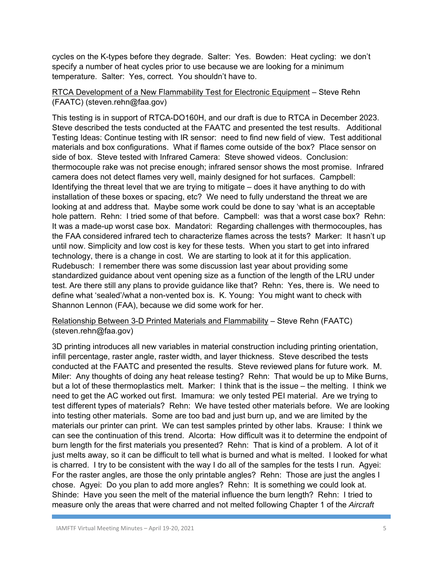cycles on the K-types before they degrade. Salter: Yes. Bowden: Heat cycling: we don't specify a number of heat cycles prior to use because we are looking for a minimum temperature. Salter: Yes, correct. You shouldn't have to.

# RTCA Development of a New Flammability Test for Electronic Equipment – Steve Rehn (FAATC) (steven.rehn@faa.gov)

This testing is in support of RTCA-DO160H, and our draft is due to RTCA in December 2023. Steve described the tests conducted at the FAATC and presented the test results. Additional Testing Ideas: Continue testing with IR sensor: need to find new field of view. Test additional materials and box configurations. What if flames come outside of the box? Place sensor on side of box. Steve tested with Infrared Camera: Steve showed videos. Conclusion: thermocouple rake was not precise enough; infrared sensor shows the most promise. Infrared camera does not detect flames very well, mainly designed for hot surfaces. Campbell: Identifying the threat level that we are trying to mitigate – does it have anything to do with installation of these boxes or spacing, etc? We need to fully understand the threat we are looking at and address that. Maybe some work could be done to say 'what is an acceptable hole pattern. Rehn: I tried some of that before. Campbell: was that a worst case box? Rehn: It was a made-up worst case box. Mandatori: Regarding challenges with thermocouples, has the FAA considered infrared tech to characterize flames across the tests? Marker: It hasn't up until now. Simplicity and low cost is key for these tests. When you start to get into infrared technology, there is a change in cost. We are starting to look at it for this application. Rudebusch: I remember there was some discussion last year about providing some standardized guidance about vent opening size as a function of the length of the LRU under test. Are there still any plans to provide guidance like that? Rehn: Yes, there is. We need to define what 'sealed'/what a non-vented box is. K. Young: You might want to check with Shannon Lennon (FAA), because we did some work for her.

# Relationship Between 3-D Printed Materials and Flammability – Steve Rehn (FAATC) (steven.rehn@faa.gov)

3D printing introduces all new variables in material construction including printing orientation, infill percentage, raster angle, raster width, and layer thickness. Steve described the tests conducted at the FAATC and presented the results. Steve reviewed plans for future work. M. Miler: Any thoughts of doing any heat release testing? Rehn: That would be up to Mike Burns, but a lot of these thermoplastics melt. Marker: I think that is the issue – the melting. I think we need to get the AC worked out first. Imamura: we only tested PEI material. Are we trying to test different types of materials? Rehn: We have tested other materials before. We are looking into testing other materials. Some are too bad and just burn up, and we are limited by the materials our printer can print. We can test samples printed by other labs. Krause: I think we can see the continuation of this trend. Alcorta: How difficult was it to determine the endpoint of burn length for the first materials you presented? Rehn: That is kind of a problem. A lot of it just melts away, so it can be difficult to tell what is burned and what is melted. I looked for what is charred. I try to be consistent with the way I do all of the samples for the tests I run. Agyei: For the raster angles, are those the only printable angles? Rehn: Those are just the angles I chose. Agyei: Do you plan to add more angles? Rehn: It is something we could look at. Shinde: Have you seen the melt of the material influence the burn length? Rehn: I tried to measure only the areas that were charred and not melted following Chapter 1 of the *Aircraft*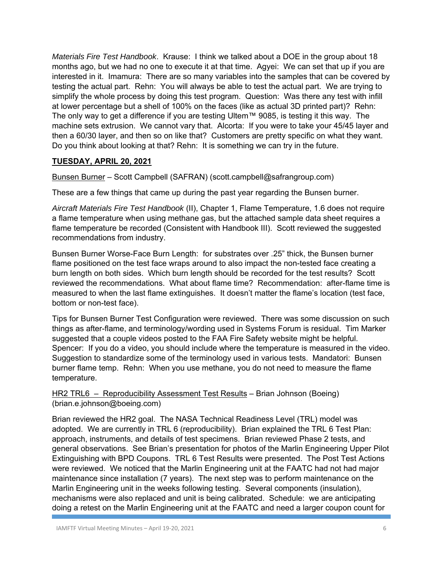*Materials Fire Test Handbook*. Krause: I think we talked about a DOE in the group about 18 months ago, but we had no one to execute it at that time. Agyei: We can set that up if you are interested in it. Imamura: There are so many variables into the samples that can be covered by testing the actual part. Rehn: You will always be able to test the actual part. We are trying to simplify the whole process by doing this test program. Question: Was there any test with infill at lower percentage but a shell of 100% on the faces (like as actual 3D printed part)? Rehn: The only way to get a difference if you are testing Ultem™ 9085, is testing it this way. The machine sets extrusion. We cannot vary that. Alcorta: If you were to take your 45/45 layer and then a 60/30 layer, and then so on like that? Customers are pretty specific on what they want. Do you think about looking at that? Rehn: It is something we can try in the future.

# **TUESDAY, APRIL 20, 2021**

Bunsen Burner – Scott Campbell (SAFRAN) (scott.campbell@safrangroup.com)

These are a few things that came up during the past year regarding the Bunsen burner.

*Aircraft Materials Fire Test Handbook* (II), Chapter 1, Flame Temperature, 1.6 does not require a flame temperature when using methane gas, but the attached sample data sheet requires a flame temperature be recorded (Consistent with Handbook III). Scott reviewed the suggested recommendations from industry.

Bunsen Burner Worse-Face Burn Length: for substrates over .25" thick, the Bunsen burner flame positioned on the test face wraps around to also impact the non-tested face creating a burn length on both sides. Which burn length should be recorded for the test results? Scott reviewed the recommendations. What about flame time? Recommendation: after-flame time is measured to when the last flame extinguishes. It doesn't matter the flame's location (test face, bottom or non-test face).

Tips for Bunsen Burner Test Configuration were reviewed. There was some discussion on such things as after-flame, and terminology/wording used in Systems Forum is residual. Tim Marker suggested that a couple videos posted to the FAA Fire Safety website might be helpful. Spencer: If you do a video, you should include where the temperature is measured in the video. Suggestion to standardize some of the terminology used in various tests. Mandatori: Bunsen burner flame temp. Rehn: When you use methane, you do not need to measure the flame temperature.

HR2 TRL6 – Reproducibility Assessment Test Results – Brian Johnson (Boeing) (brian.e.johnson@boeing.com)

Brian reviewed the HR2 goal. The NASA Technical Readiness Level (TRL) model was adopted. We are currently in TRL 6 (reproducibility). Brian explained the TRL 6 Test Plan: approach, instruments, and details of test specimens. Brian reviewed Phase 2 tests, and general observations. See Brian's presentation for photos of the Marlin Engineering Upper Pilot Extinguishing with BPD Coupons. TRL 6 Test Results were presented. The Post Test Actions were reviewed. We noticed that the Marlin Engineering unit at the FAATC had not had major maintenance since installation (7 years). The next step was to perform maintenance on the Marlin Engineering unit in the weeks following testing. Several components (insulation), mechanisms were also replaced and unit is being calibrated. Schedule: we are anticipating doing a retest on the Marlin Engineering unit at the FAATC and need a larger coupon count for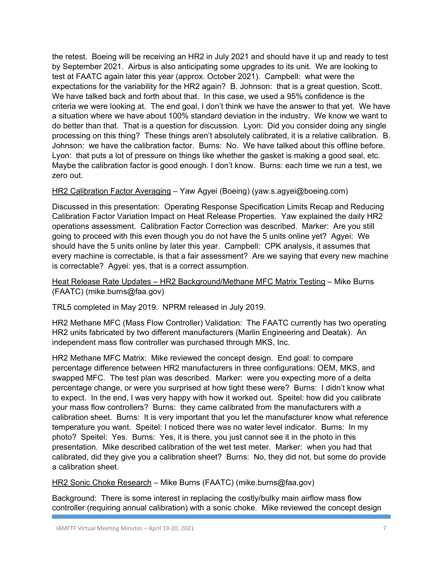the retest. Boeing will be receiving an HR2 in July 2021 and should have it up and ready to test by September 2021. Airbus is also anticipating some upgrades to its unit. We are looking to test at FAATC again later this year (approx. October 2021). Campbell: what were the expectations for the variability for the HR2 again? B. Johnson: that is a great question, Scott. We have talked back and forth about that. In this case, we used a 95% confidence is the criteria we were looking at. The end goal, I don't think we have the answer to that yet. We have a situation where we have about 100% standard deviation in the industry. We know we want to do better than that. That is a question for discussion. Lyon: Did you consider doing any single processing on this thing? These things aren't absolutely calibrated, it is a relative calibration. B. Johnson: we have the calibration factor. Burns: No. We have talked about this offline before. Lyon: that puts a lot of pressure on things like whether the gasket is making a good seal, etc. Maybe the calibration factor is good enough. I don't know. Burns: each time we run a test, we zero out.

## HR2 Calibration Factor Averaging – Yaw Agyei (Boeing) (yaw.s.agyei@boeing.com)

Discussed in this presentation: Operating Response Specification Limits Recap and Reducing Calibration Factor Variation Impact on Heat Release Properties. Yaw explained the daily HR2 operations assessment. Calibration Factor Correction was described. Marker: Are you still going to proceed with this even though you do not have the 5 units online yet? Agyei: We should have the 5 units online by later this year. Campbell: CPK analysis, it assumes that every machine is correctable, is that a fair assessment? Are we saying that every new machine is correctable? Agyei: yes, that is a correct assumption.

Heat Release Rate Updates – HR2 Background/Methane MFC Matrix Testing – Mike Burns (FAATC) (mike.burns@faa.gov)

TRL5 completed in May 2019. NPRM released in July 2019.

HR2 Methane MFC (Mass Flow Controller) Validation: The FAATC currently has two operating HR2 units fabricated by two different manufacturers (Marlin Engineering and Deatak). An independent mass flow controller was purchased through MKS, Inc.

HR2 Methane MFC Matrix: Mike reviewed the concept design. End goal: to compare percentage difference between HR2 manufacturers in three configurations: OEM, MKS, and swapped MFC. The test plan was described. Marker: were you expecting more of a delta percentage change, or were you surprised at how tight these were? Burns: I didn't know what to expect. In the end, I was very happy with how it worked out. Speitel: how did you calibrate your mass flow controllers? Burns: they came calibrated from the manufacturers with a calibration sheet. Burns: It is very important that you let the manufacturer know what reference temperature you want. Speitel: I noticed there was no water level indicator. Burns: In my photo? Speitel: Yes. Burns: Yes, it is there, you just cannot see it in the photo in this presentation. Mike described calibration of the wet test meter. Marker: when you had that calibrated, did they give you a calibration sheet? Burns: No, they did not, but some do provide a calibration sheet.

HR2 Sonic Choke Research – Mike Burns (FAATC) (mike.burns@faa.gov)

Background: There is some interest in replacing the costly/bulky main airflow mass flow controller (requiring annual calibration) with a sonic choke. Mike reviewed the concept design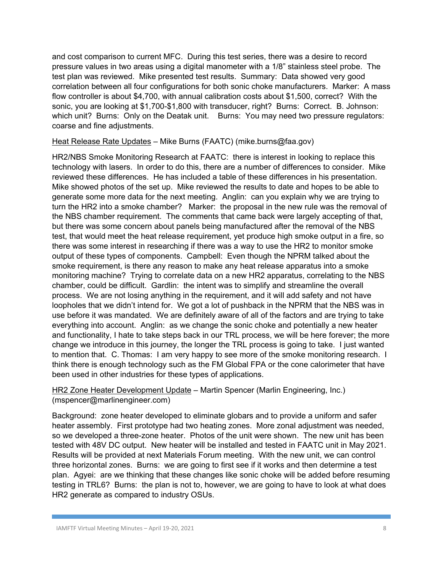and cost comparison to current MFC. During this test series, there was a desire to record pressure values in two areas using a digital manometer with a 1/8" stainless steel probe. The test plan was reviewed. Mike presented test results. Summary: Data showed very good correlation between all four configurations for both sonic choke manufacturers. Marker: A mass flow controller is about \$4,700, with annual calibration costs about \$1,500, correct? With the sonic, you are looking at \$1,700-\$1,800 with transducer, right? Burns: Correct. B. Johnson: which unit? Burns: Only on the Deatak unit. Burns: You may need two pressure regulators: coarse and fine adjustments.

### Heat Release Rate Updates – Mike Burns (FAATC) (mike.burns@faa.gov)

HR2/NBS Smoke Monitoring Research at FAATC: there is interest in looking to replace this technology with lasers. In order to do this, there are a number of differences to consider. Mike reviewed these differences. He has included a table of these differences in his presentation. Mike showed photos of the set up. Mike reviewed the results to date and hopes to be able to generate some more data for the next meeting. Anglin: can you explain why we are trying to turn the HR2 into a smoke chamber? Marker: the proposal in the new rule was the removal of the NBS chamber requirement. The comments that came back were largely accepting of that, but there was some concern about panels being manufactured after the removal of the NBS test, that would meet the heat release requirement, yet produce high smoke output in a fire, so there was some interest in researching if there was a way to use the HR2 to monitor smoke output of these types of components. Campbell: Even though the NPRM talked about the smoke requirement, is there any reason to make any heat release apparatus into a smoke monitoring machine? Trying to correlate data on a new HR2 apparatus, correlating to the NBS chamber, could be difficult. Gardlin: the intent was to simplify and streamline the overall process. We are not losing anything in the requirement, and it will add safety and not have loopholes that we didn't intend for. We got a lot of pushback in the NPRM that the NBS was in use before it was mandated. We are definitely aware of all of the factors and are trying to take everything into account. Anglin: as we change the sonic choke and potentially a new heater and functionality, I hate to take steps back in our TRL process, we will be here forever; the more change we introduce in this journey, the longer the TRL process is going to take. I just wanted to mention that. C. Thomas: I am very happy to see more of the smoke monitoring research. I think there is enough technology such as the FM Global FPA or the cone calorimeter that have been used in other industries for these types of applications.

## HR2 Zone Heater Development Update – Martin Spencer (Marlin Engineering, Inc.) (mspencer@marlinengineer.com)

Background: zone heater developed to eliminate globars and to provide a uniform and safer heater assembly. First prototype had two heating zones. More zonal adjustment was needed, so we developed a three-zone heater. Photos of the unit were shown. The new unit has been tested with 48V DC output. New heater will be installed and tested in FAATC unit in May 2021. Results will be provided at next Materials Forum meeting. With the new unit, we can control three horizontal zones. Burns: we are going to first see if it works and then determine a test plan. Agyei: are we thinking that these changes like sonic choke will be added before resuming testing in TRL6? Burns: the plan is not to, however, we are going to have to look at what does HR2 generate as compared to industry OSUs.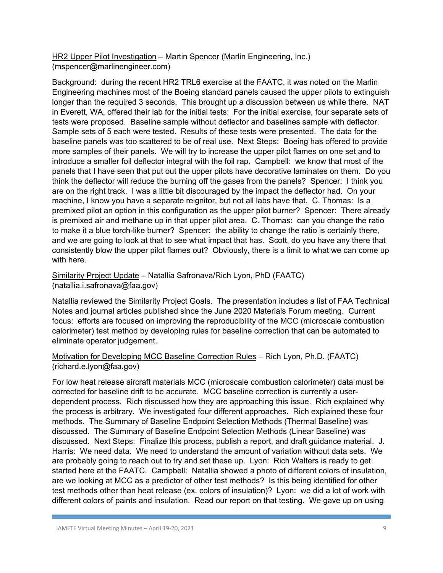HR2 Upper Pilot Investigation – Martin Spencer (Marlin Engineering, Inc.) (mspencer@marlinengineer.com)

Background: during the recent HR2 TRL6 exercise at the FAATC, it was noted on the Marlin Engineering machines most of the Boeing standard panels caused the upper pilots to extinguish longer than the required 3 seconds. This brought up a discussion between us while there. NAT in Everett, WA, offered their lab for the initial tests: For the initial exercise, four separate sets of tests were proposed. Baseline sample without deflector and baselines sample with deflector. Sample sets of 5 each were tested. Results of these tests were presented. The data for the baseline panels was too scattered to be of real use. Next Steps: Boeing has offered to provide more samples of their panels. We will try to increase the upper pilot flames on one set and to introduce a smaller foil deflector integral with the foil rap. Campbell: we know that most of the panels that I have seen that put out the upper pilots have decorative laminates on them. Do you think the deflector will reduce the burning off the gases from the panels? Spencer: I think you are on the right track. I was a little bit discouraged by the impact the deflector had. On your machine, I know you have a separate reignitor, but not all labs have that. C. Thomas: Is a premixed pilot an option in this configuration as the upper pilot burner? Spencer: There already is premixed air and methane up in that upper pilot area. C. Thomas: can you change the ratio to make it a blue torch-like burner? Spencer: the ability to change the ratio is certainly there, and we are going to look at that to see what impact that has. Scott, do you have any there that consistently blow the upper pilot flames out? Obviously, there is a limit to what we can come up with here.

Similarity Project Update – Natallia Safronava/Rich Lyon, PhD (FAATC) (natallia.i.safronava@faa.gov)

Natallia reviewed the Similarity Project Goals. The presentation includes a list of FAA Technical Notes and journal articles published since the June 2020 Materials Forum meeting. Current focus: efforts are focused on improving the reproducibility of the MCC (microscale combustion calorimeter) test method by developing rules for baseline correction that can be automated to eliminate operator judgement.

# Motivation for Developing MCC Baseline Correction Rules – Rich Lyon, Ph.D. (FAATC) (richard.e.lyon@faa.gov)

For low heat release aircraft materials MCC (microscale combustion calorimeter) data must be corrected for baseline drift to be accurate. MCC baseline correction is currently a userdependent process. Rich discussed how they are approaching this issue. Rich explained why the process is arbitrary. We investigated four different approaches. Rich explained these four methods. The Summary of Baseline Endpoint Selection Methods (Thermal Baseline) was discussed. The Summary of Baseline Endpoint Selection Methods (Linear Baseline) was discussed. Next Steps: Finalize this process, publish a report, and draft guidance material. J. Harris: We need data. We need to understand the amount of variation without data sets. We are probably going to reach out to try and set these up. Lyon: Rich Walters is ready to get started here at the FAATC. Campbell: Natallia showed a photo of different colors of insulation, are we looking at MCC as a predictor of other test methods? Is this being identified for other test methods other than heat release (ex. colors of insulation)? Lyon: we did a lot of work with different colors of paints and insulation. Read our report on that testing. We gave up on using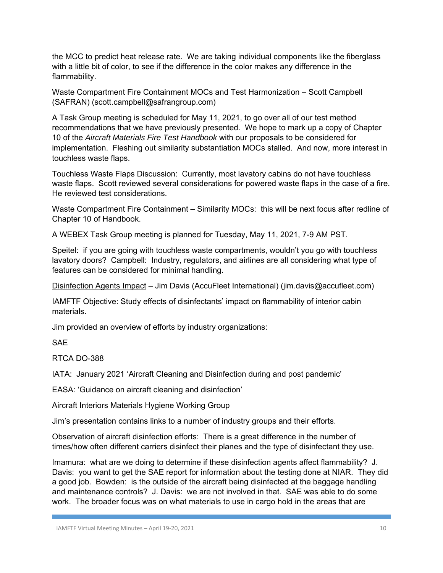the MCC to predict heat release rate. We are taking individual components like the fiberglass with a little bit of color, to see if the difference in the color makes any difference in the flammability.

Waste Compartment Fire Containment MOCs and Test Harmonization – Scott Campbell (SAFRAN) (scott.campbell@safrangroup.com)

A Task Group meeting is scheduled for May 11, 2021, to go over all of our test method recommendations that we have previously presented. We hope to mark up a copy of Chapter 10 of the *Aircraft Materials Fire Test Handbook* with our proposals to be considered for implementation. Fleshing out similarity substantiation MOCs stalled. And now, more interest in touchless waste flaps.

Touchless Waste Flaps Discussion: Currently, most lavatory cabins do not have touchless waste flaps. Scott reviewed several considerations for powered waste flaps in the case of a fire. He reviewed test considerations.

Waste Compartment Fire Containment – Similarity MOCs: this will be next focus after redline of Chapter 10 of Handbook.

A WEBEX Task Group meeting is planned for Tuesday, May 11, 2021, 7-9 AM PST.

Speitel: if you are going with touchless waste compartments, wouldn't you go with touchless lavatory doors? Campbell: Industry, regulators, and airlines are all considering what type of features can be considered for minimal handling.

Disinfection Agents Impact - Jim Davis (AccuFleet International) (jim.davis@accufleet.com)

IAMFTF Objective: Study effects of disinfectants' impact on flammability of interior cabin materials.

Jim provided an overview of efforts by industry organizations:

**SAE** 

RTCA DO-388

IATA: January 2021 'Aircraft Cleaning and Disinfection during and post pandemic'

EASA: 'Guidance on aircraft cleaning and disinfection'

Aircraft Interiors Materials Hygiene Working Group

Jim's presentation contains links to a number of industry groups and their efforts.

Observation of aircraft disinfection efforts: There is a great difference in the number of times/how often different carriers disinfect their planes and the type of disinfectant they use.

Imamura: what are we doing to determine if these disinfection agents affect flammability? J. Davis: you want to get the SAE report for information about the testing done at NIAR. They did a good job. Bowden: is the outside of the aircraft being disinfected at the baggage handling and maintenance controls? J. Davis: we are not involved in that. SAE was able to do some work. The broader focus was on what materials to use in cargo hold in the areas that are